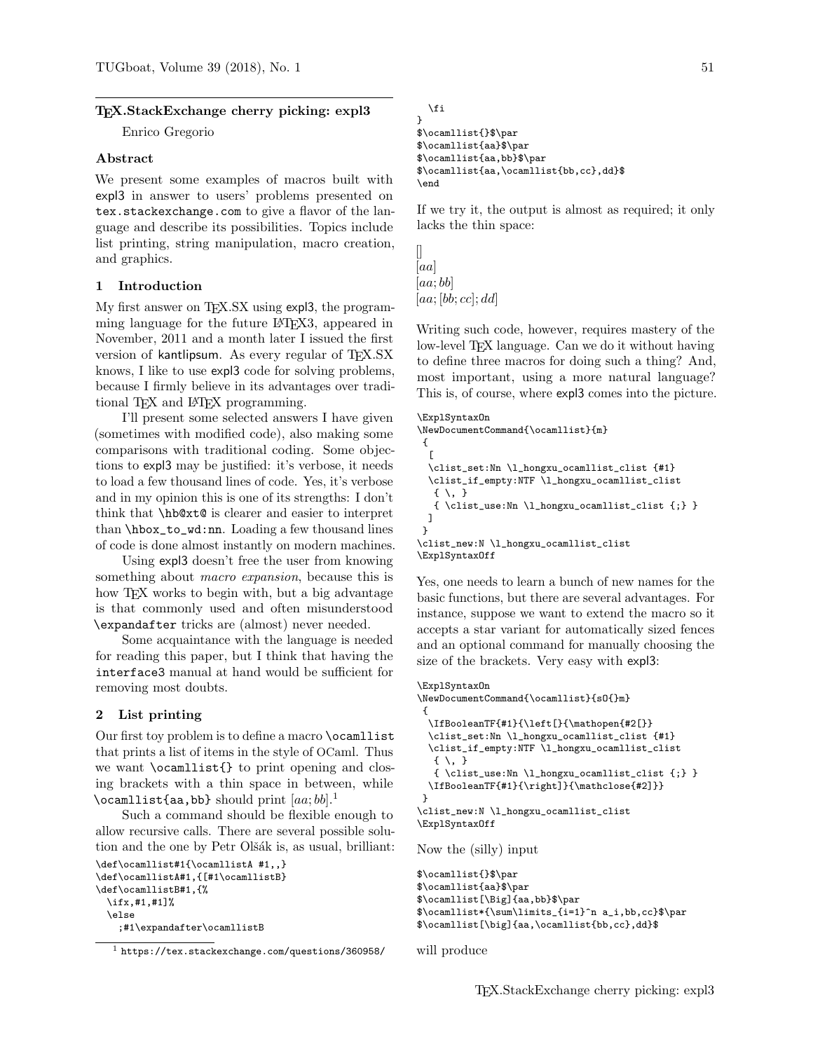#### TEX.StackExchange cherry picking: expl3

Enrico Gregorio

#### Abstract

We present some examples of macros built with expl3 in answer to users' problems presented on tex.stackexchange.com to give a flavor of the language and describe its possibilities. Topics include list printing, string manipulation, macro creation, and graphics.

#### 1 Introduction

My first answer on T<sub>EX</sub>.SX using expl3, the programming language for the future LAT<sub>EX3</sub>, appeared in November, 2011 and a month later I issued the first version of kantlipsum. As every regular of TEX.SX knows, I like to use expl3 code for solving problems, because I firmly believe in its advantages over traditional T<sub>F</sub>X and L<sup>AT</sup>F<sub>X</sub> programming.

I'll present some selected answers I have given (sometimes with modified code), also making some comparisons with traditional coding. Some objections to expl3 may be justified: it's verbose, it needs to load a few thousand lines of code. Yes, it's verbose and in my opinion this is one of its strengths: I don't think that \hb@xt@ is clearer and easier to interpret than \hbox\_to\_wd:nn. Loading a few thousand lines of code is done almost instantly on modern machines.

Using expl3 doesn't free the user from knowing something about *macro expansion*, because this is how T<sub>EX</sub> works to begin with, but a big advantage is that commonly used and often misunderstood \expandafter tricks are (almost) never needed.

Some acquaintance with the language is needed for reading this paper, but I think that having the interface3 manual at hand would be sufficient for removing most doubts.

# 2 List printing

Our first toy problem is to define a macro **\ocamllist** that prints a list of items in the style of OCaml. Thus we want \ocamllist{} to print opening and closing brackets with a thin space in between, while \ocamllist{aa,bb} should print  $[aa;bb].<sup>1</sup>$ 

Such a command should be flexible enough to allow recursive calls. There are several possible solution and the one by Petr Olšák is, as usual, brilliant:

```
\def\ocamllist#1{\ocamllistA #1,,}
\def\ocamllistA#1,{[#1\ocamllistB}
\def\ocamllistB#1,{%
  \ifx,#1,#1]%
  \else
    ;#1\expandafter\ocamllistB
```

```
\fi
$\ocamllist{}$\par
$\ocamllist{aa}$\par
$\ocamllist{aa,bb}$\par
$\ocamllist{aa,\ocamllist{bb,cc},dd}$
```
If we try it, the output is almost as required; it only lacks the thin space:

```
\mathcal \Box[aa]
[aa; bb][aa; [bb; cc]; dd]
```
}

\end

Writing such code, however, requires mastery of the low-level T<sub>EX</sub> language. Can we do it without having to define three macros for doing such a thing? And, most important, using a more natural language? This is, of course, where expl3 comes into the picture.

```
\ExplSyntaxOn
\NewDocumentCommand{\ocamllist}{m}
{
  \sqrt{2}\clist_set:Nn \l_hongxu_ocamllist_clist {#1}
  \clist_if_empty:NTF \l_hongxu_ocamllist_clist
   \{ \ \backslash \ \}{ \clist_use:Nn \l_hongxu_ocamllist_clist {;} }
 ]
}
\clist_new:N \l_hongxu_ocamllist_clist
\ExplSyntaxOff
```
Yes, one needs to learn a bunch of new names for the basic functions, but there are several advantages. For instance, suppose we want to extend the macro so it accepts a star variant for automatically sized fences and an optional command for manually choosing the size of the brackets. Very easy with expl3:

```
\ExplSyntaxOn
\NewDocumentCommand{\ocamllist}{sO{}m}
{
  \IfBooleanTF{#1}{\left[}{\mathopen{#2[}}
  \clist_set:Nn \l_hongxu_ocamllist_clist {#1}
  \clist_if_empty:NTF \l_hongxu_ocamllist_clist
  \{ \ \backslash, \ \}{ \clist_use:Nn \l_hongxu_ocamllist_clist {;} }
  \IfBooleanTF{#1}{\right]}{\mathclose{#2]}}
 }
\clist_new:N \l_hongxu_ocamllist_clist
\ExplSyntaxOff
Now the (silly) input
$\ocamllist{}$\par
$\ocamllist{aa}$\par
$\ocamllist[\Big]{aa,bb}$\par
$\ocamllist*{\sum\limits_{i=1}^n a_i,bb,cc}$\par
```

```
$\ocamllist[\big]{aa,\ocamllist{bb,cc},dd}$
```
will produce

 $1$  https://tex.stackexchange.com/questions/360958/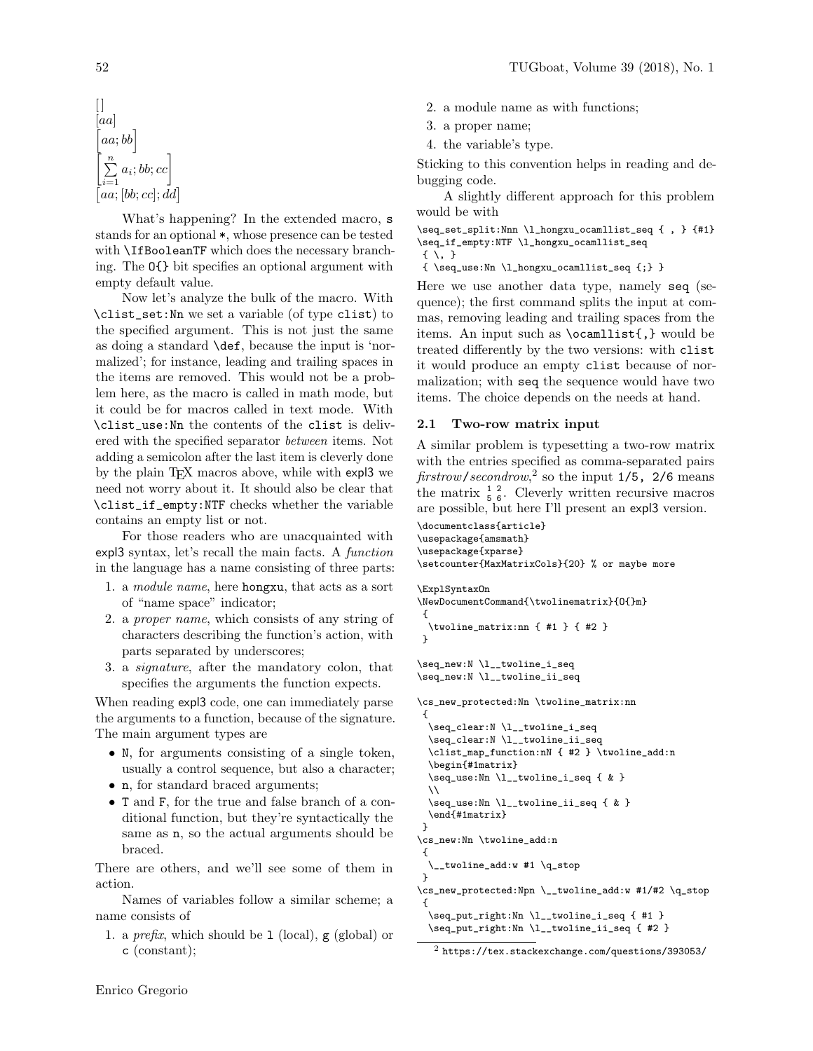$$
\begin{array}{c}\n[]\n[aa] \\
[aa; bb] \\
\hline\n\begin{bmatrix} a \\ \sum_{i=1}^{n} a_i; bb; cc \\ \n[aa; [bb; cc]; dd]\n\end{bmatrix}\n\end{array}
$$

What's happening? In the extended macro, s stands for an optional \*, whose presence can be tested with \IfBooleanTF which does the necessary branching. The O{} bit specifies an optional argument with empty default value.

Now let's analyze the bulk of the macro. With \clist\_set:Nn we set a variable (of type clist) to the specified argument. This is not just the same as doing a standard \def, because the input is 'normalized'; for instance, leading and trailing spaces in the items are removed. This would not be a problem here, as the macro is called in math mode, but it could be for macros called in text mode. With \clist\_use:Nn the contents of the clist is delivered with the specified separator between items. Not adding a semicolon after the last item is cleverly done by the plain TEX macros above, while with expl3 we need not worry about it. It should also be clear that \clist\_if\_empty:NTF checks whether the variable contains an empty list or not.

For those readers who are unacquainted with expl3 syntax, let's recall the main facts. A function in the language has a name consisting of three parts:

- 1. a module name, here hongxu, that acts as a sort of "name space" indicator;
- 2. a proper name, which consists of any string of characters describing the function's action, with parts separated by underscores;
- 3. a signature, after the mandatory colon, that specifies the arguments the function expects.

When reading expl3 code, one can immediately parse the arguments to a function, because of the signature. The main argument types are

- N, for arguments consisting of a single token, usually a control sequence, but also a character;
- n, for standard braced arguments;
- T and F, for the true and false branch of a conditional function, but they're syntactically the same as n, so the actual arguments should be braced.

There are others, and we'll see some of them in action.

Names of variables follow a similar scheme; a name consists of

1. a *prefix*, which should be 1 (local),  $g$  (global) or c (constant);

- 2. a module name as with functions;
- 3. a proper name;
- 4. the variable's type.

Sticking to this convention helps in reading and debugging code.

A slightly different approach for this problem would be with

\seq\_set\_split:Nnn \l\_hongxu\_ocamllist\_seq { , } {#1} \seq\_if\_empty:NTF \l\_hongxu\_ocamllist\_seq  $\{ \ \ \backslash \ , \ \}$ 

```
{ \seq_use:Nn \l_hongxu_ocamllist_seq {;} }
```
Here we use another data type, namely seq (sequence); the first command splits the input at commas, removing leading and trailing spaces from the items. An input such as \ocamllist{,} would be treated differently by the two versions: with clist it would produce an empty clist because of normalization; with seq the sequence would have two items. The choice depends on the needs at hand.

# 2.1 Two-row matrix input

A similar problem is typesetting a two-row matrix with the entries specified as comma-separated pairs  $\text{firstrow}/\text{secondrow}$ , so the input 1/5, 2/6 means the matrix  $\frac{1}{5}$   $\frac{2}{6}$ . Cleverly written recursive macros are possible, but here I'll present an expl3 version.

```
\documentclass{article}
\usepackage{amsmath}
\usepackage{xparse}
\setcounter{MaxMatrixCols}{20} % or maybe more
\ExplSyntaxOn
\NewDocumentCommand{\twolinematrix}{O{}m}
{
  \twoline_matrix:nn { #1 } { #2 }
}
\seq_new:N \l__twoline_i_seq
\seq_new:N \l__twoline_ii_seq
\cs_new_protected:Nn \twoline_matrix:nn
 {
  \seq_clear:N \l__twoline_i_seq
  \seq_clear:N \l__twoline_ii_seq
  \clist_map_function:nN { #2 } \twoline_add:n
  \begin{#1matrix}
  \seq_use:Nn \l__twoline_i_seq { & }
  \setminus\seq_use:Nn \l__twoline_ii_seq { & }
  \end{#1matrix}
}
```

```
\cs_new:Nn \twoline_add:n
{
    _twoline_add:w #1 \qquad}
\cs_new_protected:Npn \__twoline_add:w #1/#2 \q_stop
 {
 \seq_put_right:Nn \l__twoline_i_seq { #1 }
```
\seq\_put\_right:Nn \l\_\_twoline\_ii\_seq { #2 }

<sup>2</sup> https://tex.stackexchange.com/questions/393053/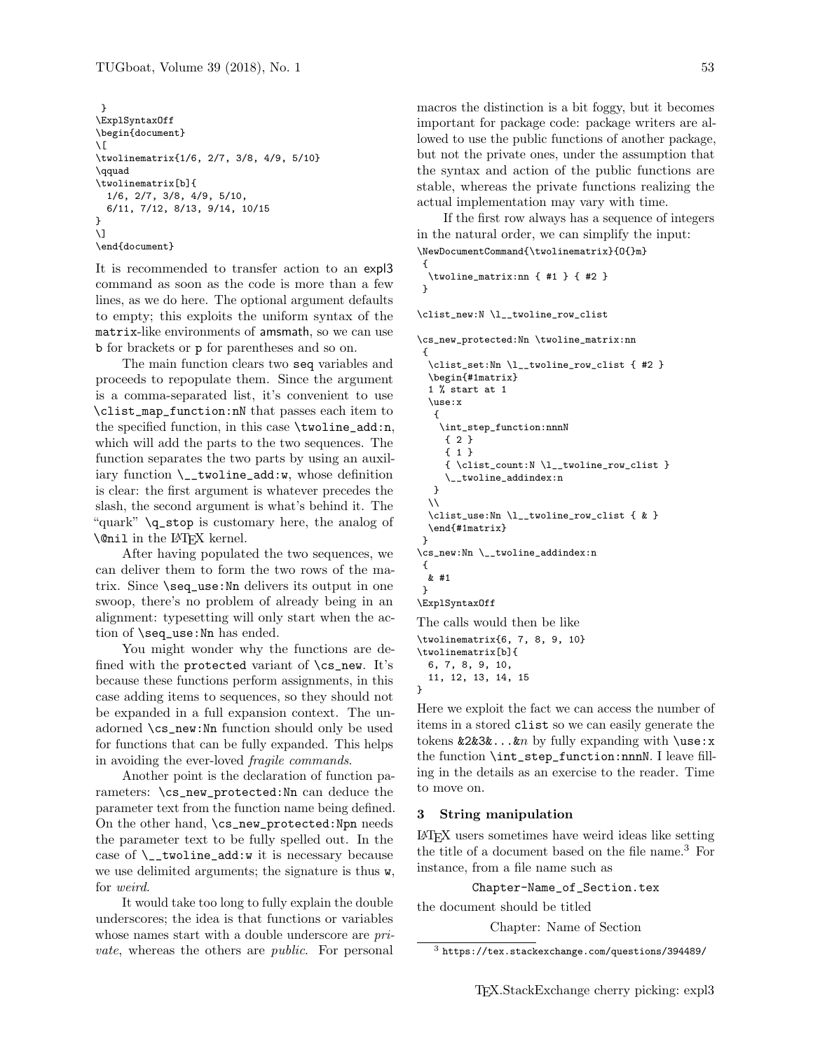```
}
\ExplSyntaxOff
\begin{document}
\sqrt{}\twolinematrix{1/6, 2/7, 3/8, 4/9, 5/10}
\qquad
\twolinematrix[b]{
  1/6, 2/7, 3/8, 4/9, 5/10,
  6/11, 7/12, 8/13, 9/14, 10/15
}
\]
\end{document}
```
It is recommended to transfer action to an expl3 command as soon as the code is more than a few lines, as we do here. The optional argument defaults to empty; this exploits the uniform syntax of the matrix-like environments of amsmath, so we can use b for brackets or p for parentheses and so on.

The main function clears two seq variables and proceeds to repopulate them. Since the argument is a comma-separated list, it's convenient to use \clist\_map\_function:nN that passes each item to the specified function, in this case \twoline\_add:n, which will add the parts to the two sequences. The function separates the two parts by using an auxiliary function  $\_{\text{t}}$  twoline\_add:w, whose definition is clear: the first argument is whatever precedes the slash, the second argument is what's behind it. The "quark" \q\_stop is customary here, the analog of \@nil in the LATEX kernel.

After having populated the two sequences, we can deliver them to form the two rows of the matrix. Since \seq\_use:Nn delivers its output in one swoop, there's no problem of already being in an alignment: typesetting will only start when the action of \seq\_use:Nn has ended.

You might wonder why the functions are defined with the protected variant of  $\csc$ -new. It's because these functions perform assignments, in this case adding items to sequences, so they should not be expanded in a full expansion context. The unadorned \cs\_new:Nn function should only be used for functions that can be fully expanded. This helps in avoiding the ever-loved fragile commands.

Another point is the declaration of function parameters: \cs\_new\_protected:Nn can deduce the parameter text from the function name being defined. On the other hand, \cs\_new\_protected:Npn needs the parameter text to be fully spelled out. In the case of  $\_{\text{t}}$  twoline\_add:w it is necessary because we use delimited arguments; the signature is thus w, for weird.

It would take too long to fully explain the double underscores; the idea is that functions or variables whose names start with a double underscore are *pri*vate, whereas the others are public. For personal macros the distinction is a bit foggy, but it becomes important for package code: package writers are allowed to use the public functions of another package, but not the private ones, under the assumption that the syntax and action of the public functions are stable, whereas the private functions realizing the actual implementation may vary with time.

If the first row always has a sequence of integers in the natural order, we can simplify the input: \NewDocumentCommand{\twolinematrix}{O{}m}

```
{
 \twoline_matrix:nn { #1 } { #2 }
}
```
\clist\_new:N \l\_\_twoline\_row\_clist

```
\cs_new_protected:Nn \twoline_matrix:nn
 {
  \clist_set:Nn \l__twoline_row_clist { #2 }
  \begin{#1matrix}
  1 % start at 1
  \use:x
   {
    \int_step_function:nnnN
     { 2 }
     { 1 }
     { \clist_count:N \l__twoline_row_clist }
     \__twoline_addindex:n
   }
  \lambda\clist_use:Nn \l__twoline_row_clist { & }
  \end{#1matrix}
 }
\cs_new:Nn \__twoline_addindex:n
 {
  & #1
 }
\ExplSyntaxOff
The calls would then be like
```
\twolinematrix{6, 7, 8, 9, 10} \twolinematrix[b]{ 6, 7, 8, 9, 10, 11, 12, 13, 14, 15

}

Here we exploit the fact we can access the number of items in a stored clist so we can easily generate the tokens  $\&2\&3\&\ldots\&m$  by fully expanding with  $\use:x$ the function \int\_step\_function:nnnN. I leave filling in the details as an exercise to the reader. Time to move on.

#### 3 String manipulation

LATEX users sometimes have weird ideas like setting the title of a document based on the file name.<sup>3</sup> For instance, from a file name such as

Chapter-Name\_of\_Section.tex

the document should be titled

Chapter: Name of Section

 $^3$ https://tex.stackexchange.com/questions/394489/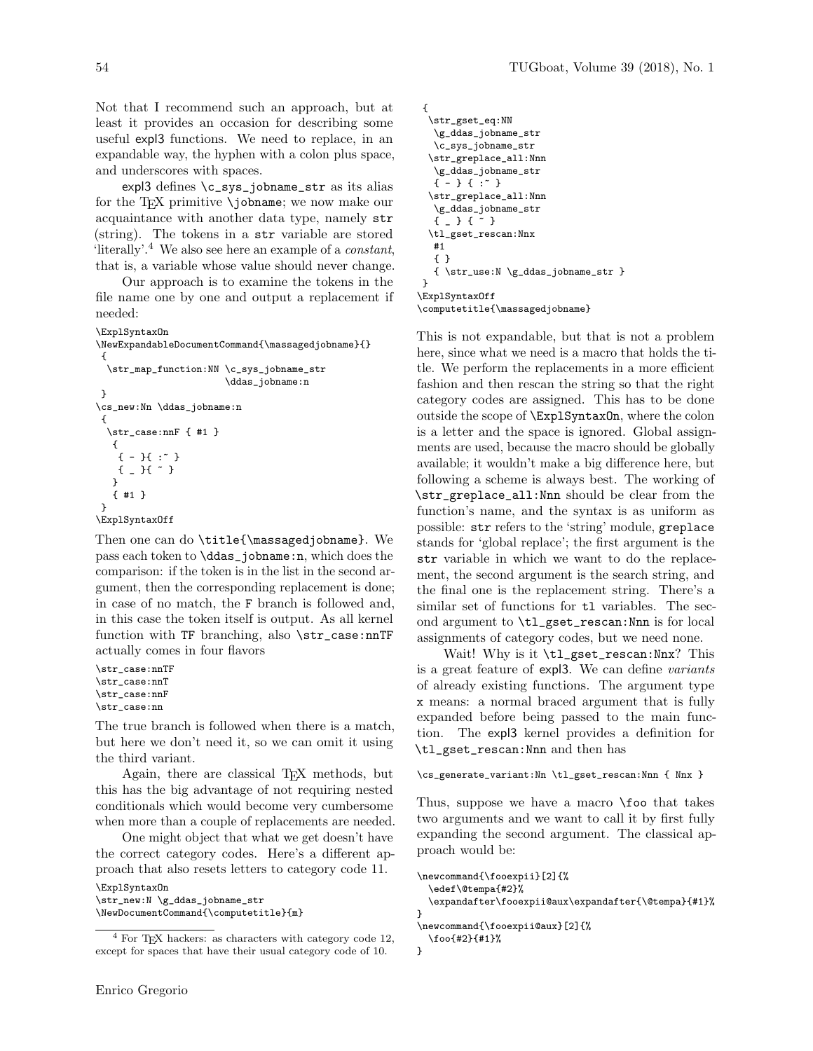Not that I recommend such an approach, but at least it provides an occasion for describing some useful expl3 functions. We need to replace, in an expandable way, the hyphen with a colon plus space, and underscores with spaces.

expl3 defines \c\_sys\_jobname\_str as its alias for the T<sub>EX</sub> primitive  $\iota$  jobname; we now make our acquaintance with another data type, namely str (string). The tokens in a str variable are stored 'literally'.<sup>4</sup> We also see here an example of a constant, that is, a variable whose value should never change.

Our approach is to examine the tokens in the file name one by one and output a replacement if needed:

```
\ExplSyntaxOn
\NewExpandableDocumentCommand{\massagedjobname}{}
{
 \str_map_function:NN \c_sys_jobname_str
                        \ddas_jobname:n
}
\cs_new:Nn \ddas_jobname:n
 {
  \str_case:nnF { #1 }
  {
    { - }{ :~ }
    { _ }{ ~ }
  }
  { #1 }
}
\ExplSyntaxOff
```
Then one can do \title{\massagedjobname}. We pass each token to \ddas\_jobname:n, which does the comparison: if the token is in the list in the second argument, then the corresponding replacement is done; in case of no match, the F branch is followed and, in this case the token itself is output. As all kernel function with TF branching, also \str\_case:nnTF actually comes in four flavors

```
\str_case:nnTF
\str_case:nnT
\str_case:nnF
\str_case:nn
```
The true branch is followed when there is a match, but here we don't need it, so we can omit it using the third variant.

Again, there are classical T<sub>E</sub>X methods, but this has the big advantage of not requiring nested conditionals which would become very cumbersome when more than a couple of replacements are needed.

One might object that what we get doesn't have the correct category codes. Here's a different approach that also resets letters to category code 11.

\ExplSyntaxOn \str\_new:N \g\_ddas\_jobname\_str \NewDocumentCommand{\computetitle}{m}

```
{
  \str_gset_eq:NN
   \g_ddas_jobname_str
   \c_sys_jobname_str
  \str_greplace_all:Nnn
   \g_ddas_jobname_str
  { - } { :~ }
  \str_greplace_all:Nnn
   \g_ddas_jobname_str
  { _ } { ~ }
  \tl_gset_rescan:Nnx
  #1
  { }
  { \str_use:N \g_ddas_jobname_str }
}
\ExplSyntaxOff
```
\computetitle{\massagedjobname}

This is not expandable, but that is not a problem here, since what we need is a macro that holds the title. We perform the replacements in a more efficient fashion and then rescan the string so that the right category codes are assigned. This has to be done outside the scope of \ExplSyntaxOn, where the colon is a letter and the space is ignored. Global assignments are used, because the macro should be globally available; it wouldn't make a big difference here, but following a scheme is always best. The working of \str\_greplace\_all:Nnn should be clear from the function's name, and the syntax is as uniform as possible: str refers to the 'string' module, greplace stands for 'global replace'; the first argument is the str variable in which we want to do the replacement, the second argument is the search string, and the final one is the replacement string. There's a similar set of functions for tl variables. The second argument to \tl\_gset\_rescan:Nnn is for local assignments of category codes, but we need none.

Wait! Why is it \tl\_gset\_rescan:Nnx? This is a great feature of expl3. We can define variants of already existing functions. The argument type x means: a normal braced argument that is fully expanded before being passed to the main function. The expl3 kernel provides a definition for \tl\_gset\_rescan:Nnn and then has

\cs\_generate\_variant:Nn \tl\_gset\_rescan:Nnn { Nnx }

Thus, suppose we have a macro \foo that takes two arguments and we want to call it by first fully expanding the second argument. The classical approach would be:

```
\newcommand{\fooexpii}[2]{%
  \edef\@tempa{#2}%
  \expandafter\fooexpii@aux\expandafter{\@tempa}{#1}%
}
\newcommand{\fooexpii@aux}[2]{%
  \foo{#2}{#1}%
}
```
 $4$  For TEX hackers: as characters with category code 12, except for spaces that have their usual category code of 10.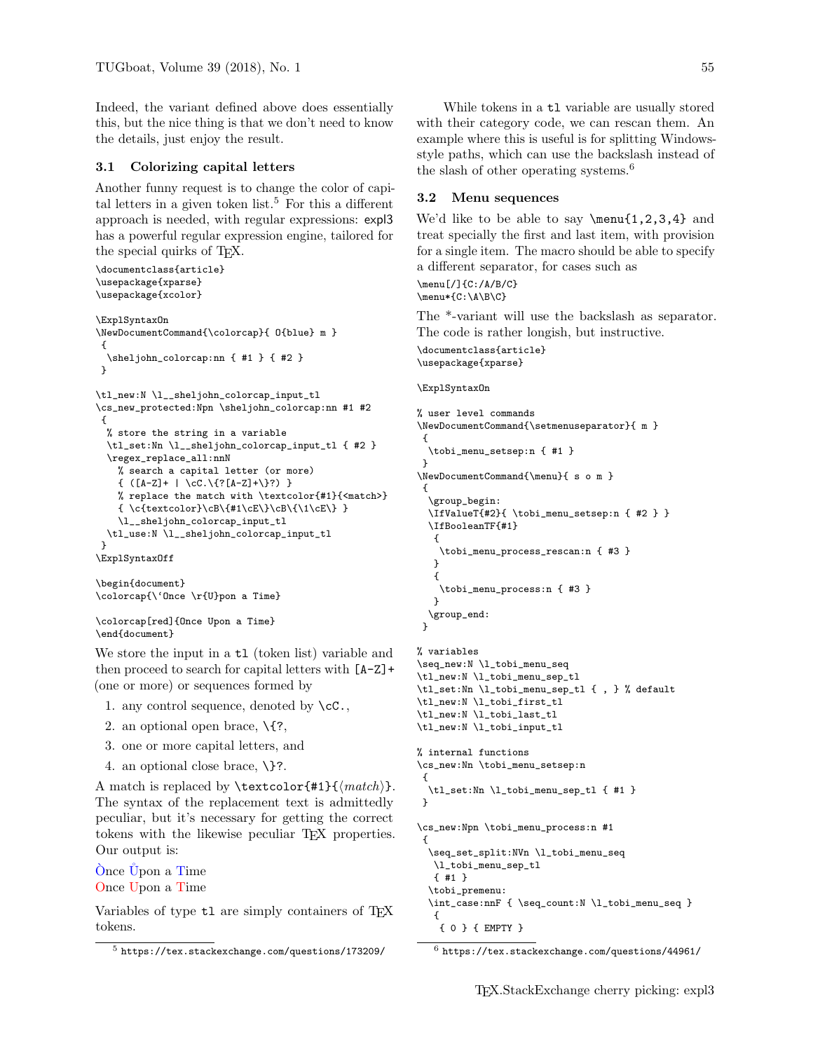Indeed, the variant defined above does essentially this, but the nice thing is that we don't need to know the details, just enjoy the result.

# 3.1 Colorizing capital letters

Another funny request is to change the color of capital letters in a given token list.<sup>5</sup> For this a different approach is needed, with regular expressions: expl3 has a powerful regular expression engine, tailored for the special quirks of TEX.

```
\documentclass{article}
\usepackage{xparse}
\usepackage{xcolor}
\ExplSyntaxOn
\NewDocumentCommand{\colorcap}{ O{blue} m }
{
 \sheljohn_colorcap:nn { #1 } { #2 }
}
\tl_new:N \l__sheljohn_colorcap_input_tl
\cs_new_protected:Npn \sheljohn_colorcap:nn #1 #2
 {
 % store the string in a variable
 \tl_set:Nn \l__sheljohn_colorcap_input_tl { #2 }
 \regex_replace_all:nnN
   % search a capital letter (or more)
   \{ ([A-Z]+ | \cc.\{?[A-Z]+\}?\})% replace the match with \textcolor{#1}{<match>}
   { \c{textcolor}\cB\{#1\cE\}\cB\{\1\cE\} }
   \l__sheljohn_colorcap_input_tl
 \tl_use:N \l__sheljohn_colorcap_input_tl
 }
\ExplSyntaxOff
```

```
\begin{document}
\colorcap{\'Once \r{U}pon a Time}
```

```
\colorcap[red]{Once Upon a Time}
\end{document}
```
We store the input in a  $t1$  (token list) variable and then proceed to search for capital letters with [A-Z]+ (one or more) or sequences formed by

- 1. any control sequence, denoted by  $\csc$ ,
- 2. an optional open brace, \{?,
- 3. one or more capital letters, and
- 4. an optional close brace, \}?.

A match is replaced by **\textcolor{#1}{** $\{match\}$ . The syntax of the replacement text is admittedly peculiar, but it's necessary for getting the correct tokens with the likewise peculiar TEX properties. Our output is:

O`nce ˚Upon a Time Once Upon a Time

Variables of type tl are simply containers of TEX tokens.

While tokens in a  $t1$  variable are usually stored with their category code, we can rescan them. An example where this is useful is for splitting Windowsstyle paths, which can use the backslash instead of the slash of other operating systems.<sup>6</sup>

# 3.2 Menu sequences

We'd like to be able to say  $\mbox{num}{1,2,3,4}$  and treat specially the first and last item, with provision for a single item. The macro should be able to specify a different separator, for cases such as \menu[/]{C:/A/B/C} \menu\*{C:\A\B\C}

The \*-variant will use the backslash as separator. The code is rather longish, but instructive.

\documentclass{article} \usepackage{xparse}

#### \ExplSyntaxOn

```
% user level commands
\NewDocumentCommand{\setmenuseparator}{ m }
{
  \tobi_menu_setsep:n { #1 }
}
\NewDocumentCommand{\menu}{ s o m }
 {
  \group_begin:
  \IfValueT{#2}{ \tobi_menu_setsep:n { #2 } }
  \IfBooleanTF{#1}
   {
    \tobi_menu_process_rescan:n { #3 }
  }
   {
    \tobi_menu_process:n { #3 }
  }
  \group_end:
}
```

```
% variables
\seq_new:N \l_tobi_menu_seq
\tl_new:N \l_tobi_menu_sep_tl
\tl_set:Nn \l_tobi_menu_sep_tl { , } % default
\tl_new:N \l_tobi_first_tl
\tl_new:N \l_tobi_last_tl
\tl_new:N \l_tobi_input_tl
% internal functions
\cs_new:Nn \tobi_menu_setsep:n
 {
  \tl_set:Nn \l_tobi_menu_sep_tl { #1 }
}
\cs_new:Npn \tobi_menu_process:n #1
 {
  \seq_set_split:NVn \l_tobi_menu_seq
  \l_tobi_menu_sep_tl
  { #1 }
  \tobi_premenu:
  \int_case:nnF { \seq_count:N \l_tobi_menu_seq }
   {
    { 0 } { EMPTY }
```
 $^5$  https://tex.stackexchange.com/questions/173209/

 $6$  https://tex.stackexchange.com/questions/44961/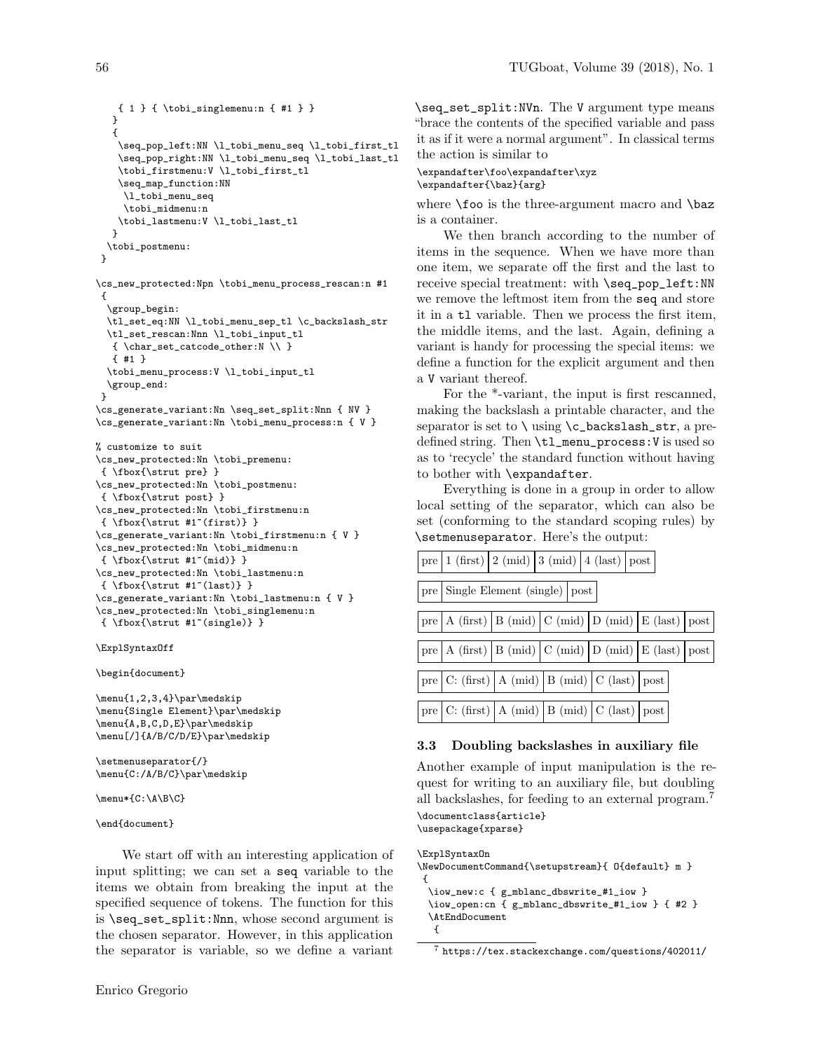```
{ 1 } { \tobi_singlemenu:n { #1 } }
}
 {
 \seq_pop_left:NN \l_tobi_menu_seq \l_tobi_first_tl
 \seq_pop_right:NN \l_tobi_menu_seq \l_tobi_last_tl
 \tobi_firstmenu:V \l_tobi_first_tl
 \seq_map_function:NN
   \l_tobi_menu_seq
   \tobi_midmenu:n
 \tobi_lastmenu:V \l_tobi_last_tl
}
\tobi_postmenu:
```

```
}
```

```
\cs_new_protected:Npn \tobi_menu_process_rescan:n #1
 {
 \group_begin:
 \tl_set_eq:NN \l_tobi_menu_sep_tl \c_backslash_str
 \tl_set_rescan:Nnn \l_tobi_input_tl
  { \char_set_catcode_other:N \\ }
  { #1 }
 \tobi_menu_process:V \l_tobi_input_tl
```

```
\verb|\group\_end|}
\cs_generate_variant:Nn \seq_set_split:Nnn { NV }
\cs_generate_variant:Nn \tobi_menu_process:n { V }
```

```
% customize to suit
\cs_new_protected:Nn \tobi_premenu:
{ \fbox{\strut pre} }
\cs_new_protected:Nn \tobi_postmenu:
{ \fbox{\strut post} }
\cs_new_protected:Nn \tobi_firstmenu:n
\{\ \tfor{\texttt{if}(first)} \}\cs_generate_variant:Nn \tobi_firstmenu:n { V }
\cs_new_protected:Nn \tobi_midmenu:n
{\fbox{\strut #1~(mid)} }
\cs_new_protected:Nn \tobi_lastmenu:n
\{\ \tfor\} \\cs_generate_variant:Nn \tobi_lastmenu:n { V }
\cs_new_protected:Nn \tobi_singlemenu:n
\{ \tfor{\text{#1}^*(single)} \}
```

```
\ExplSyntaxOff
```
\begin{document}

 $\forall 1,2,3,4\}$  \menu{1,2,3,4}\par\medskip \menu{Single Element}\par\medskip \menu{A,B,C,D,E}\par\medskip \menu[/]{A/B/C/D/E}\par\medskip

```
\setmenuseparator{/}
\menu{C:/A/B/C}\par\medskip
```
 $\n\mean*{C: \A\B\C}$ 

\end{document}

We start off with an interesting application of input splitting; we can set a seq variable to the items we obtain from breaking the input at the specified sequence of tokens. The function for this is \seq\_set\_split:Nnn, whose second argument is the chosen separator. However, in this application the separator is variable, so we define a variant \seq\_set\_split:NVn. The V argument type means "brace the contents of the specified variable and pass it as if it were a normal argument". In classical terms the action is similar to

# \expandafter\foo\expandafter\xyz

## \expandafter{\baz}{arg}

where **\foo** is the three-argument macro and **\baz** is a container.

We then branch according to the number of items in the sequence. When we have more than one item, we separate off the first and the last to receive special treatment: with \seq\_pop\_left:NN we remove the leftmost item from the seq and store it in a tl variable. Then we process the first item, the middle items, and the last. Again, defining a variant is handy for processing the special items: we define a function for the explicit argument and then a V variant thereof.

For the \*-variant, the input is first rescanned, making the backslash a printable character, and the separator is set to  $\langle \cdot \rangle$  using  $\langle \cdot \rangle$  backslash\_str, a predefined string. Then \tl\_menu\_process:V is used so as to 'recycle' the standard function without having to bother with \expandafter.

Everything is done in a group in order to allow local setting of the separator, which can also be set (conforming to the standard scoping rules) by \setmenuseparator. Here's the output:



# 3.3 Doubling backslashes in auxiliary file

Another example of input manipulation is the request for writing to an auxiliary file, but doubling all backslashes, for feeding to an external program.<sup>7</sup> \documentclass{article}

\usepackage{xparse}

```
\ExplSyntaxOn
```

```
\NewDocumentCommand{\setupstream}{ O{default} m }
 {
  \iow_new:c { g_mblanc_dbswrite_#1_iow }
```

```
\iow_open:cn { g_mblanc_dbswrite_#1_iow } { #2 }
\AtEndDocument
{
```
<sup>7</sup> https://tex.stackexchange.com/questions/402011/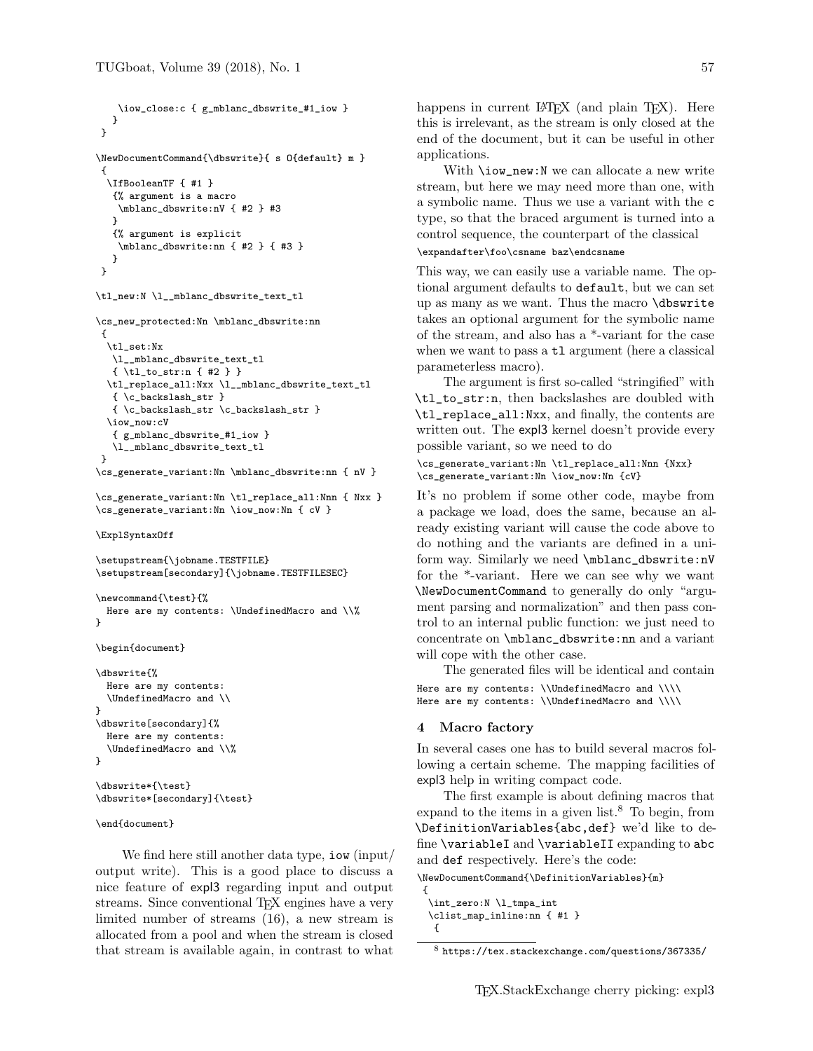} }

{

}

} }

```
\iow_close:c { g_mblanc_dbswrite_#1_iow }
\NewDocumentCommand{\dbswrite}{ s O{default} m }
  \IfBooleanTF { #1 }
   {% argument is a macro
   \mblanc_dbswrite:nV { #2 } #3
  {% argument is explicit
    \mblanc_dbswrite:nn { #2 } { #3 }
\tl_new:N \l__mblanc_dbswrite_text_tl
```

```
\cs_new_protected:Nn \mblanc_dbswrite:nn
 {
  \tl_set:Nx
  \l__mblanc_dbswrite_text_tl
  { \tl_to_str:n { #2 } }
  \tl_replace_all:Nxx \l__mblanc_dbswrite_text_tl
  { \c_backslash_str }
  { \c_backslash_str \c_backslash_str }
 \iow_now:cV
   { g_mblanc_dbswrite_#1_iow }
   \l__mblanc_dbswrite_text_tl
}
\cs_generate_variant:Nn \mblanc_dbswrite:nn { nV }
```

```
\cs_generate_variant:Nn \tl_replace_all:Nnn { Nxx }
\cs_generate_variant:Nn \iow_now:Nn { cV }
```

```
\ExplSyntaxOff
```
\setupstream{\jobname.TESTFILE} \setupstream[secondary]{\jobname.TESTFILESEC}

```
\newcommand{\test}{%
 Here are my contents: \UndefinedMacro and \\%
}
```

```
\begin{document}
```

```
\dbswrite{%
 Here are my contents:
  \UndefinedMacro and \\
}
\dbswrite[secondary]{%
  Here are my contents:
  \UndefinedMacro and \\%
}
\dbswrite*{\test}
```

```
\dbswrite*[secondary]{\test}
```

```
\end{document}
```
We find here still another data type, iow (input/ output write). This is a good place to discuss a nice feature of expl3 regarding input and output streams. Since conventional T<sub>EX</sub> engines have a very limited number of streams (16), a new stream is allocated from a pool and when the stream is closed that stream is available again, in contrast to what happens in current LAT<sub>EX</sub> (and plain T<sub>EX</sub>). Here this is irrelevant, as the stream is only closed at the end of the document, but it can be useful in other applications.

With **\iow\_new:N** we can allocate a new write stream, but here we may need more than one, with a symbolic name. Thus we use a variant with the c type, so that the braced argument is turned into a control sequence, the counterpart of the classical

# \expandafter\foo\csname baz\endcsname

This way, we can easily use a variable name. The optional argument defaults to default, but we can set up as many as we want. Thus the macro \dbswrite takes an optional argument for the symbolic name of the stream, and also has a \*-variant for the case when we want to pass a  $t1$  argument (here a classical parameterless macro).

The argument is first so-called "stringified" with \tl\_to\_str:n, then backslashes are doubled with \tl\_replace\_all:Nxx, and finally, the contents are written out. The expl3 kernel doesn't provide every possible variant, so we need to do

```
\cs_generate_variant:Nn \tl_replace_all:Nnn {Nxx}
\cs_generate_variant:Nn \iow_now:Nn {cV}
```
It's no problem if some other code, maybe from a package we load, does the same, because an already existing variant will cause the code above to do nothing and the variants are defined in a uniform way. Similarly we need \mblanc\_dbswrite:nV for the \*-variant. Here we can see why we want \NewDocumentCommand to generally do only "argument parsing and normalization" and then pass control to an internal public function: we just need to concentrate on \mblanc\_dbswrite:nn and a variant will cope with the other case.

The generated files will be identical and contain Here are my contents: \\UndefinedMacro and \\\\ Here are my contents: \\UndefinedMacro and \\\\

#### 4 Macro factory

In several cases one has to build several macros following a certain scheme. The mapping facilities of expl3 help in writing compact code.

The first example is about defining macros that expand to the items in a given list.<sup>8</sup> To begin, from \DefinitionVariables{abc,def} we'd like to define \variableI and \variableII expanding to abc and def respectively. Here's the code:

\NewDocumentCommand{\DefinitionVariables}{m}

```
{
 \int_zero:N \l_tmpa_int
 \clist_map_inline:nn { #1 }
  {
```
<sup>8</sup> https://tex.stackexchange.com/questions/367335/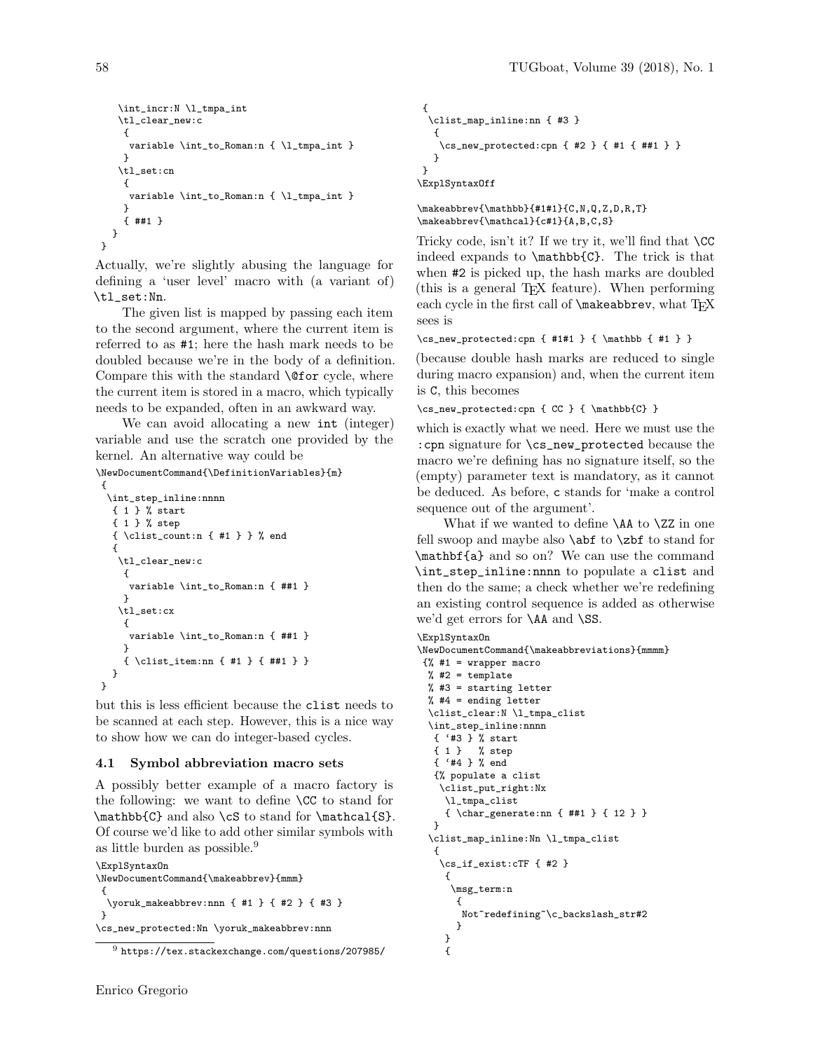```
\int_incr:N \l_tmpa_int
   \tl_clear_new:c
    {
     variable \int_to_Roman:n { \l_tmpa_int }
    }
   \tl_set:cn
    {
     variable \int_to_Roman:n { \l_tmpa_int }
    }
    { ##1 }
  }
}
```
Actually, we're slightly abusing the language for defining a 'user level' macro with (a variant of) \tl\_set:Nn.

The given list is mapped by passing each item to the second argument, where the current item is referred to as #1; here the hash mark needs to be doubled because we're in the body of a definition. Compare this with the standard **\@for** cycle, where the current item is stored in a macro, which typically needs to be expanded, often in an awkward way.

We can avoid allocating a new int (integer) variable and use the scratch one provided by the kernel. An alternative way could be

```
\NewDocumentCommand{\DefinitionVariables}{m}
```

```
{
 \int_step_inline:nnnn
  { 1 } % start
  { 1 } % step
  { \clist_count:n { #1 } } % end
  {
   \tl_clear_new:c
    {
     variable \int_to_Roman:n { ##1 }
    }
   \tl_set:cx
    {
     variable \int_to_Roman:n { ##1 }
    }
    { \clist_item:nn { #1 } { ##1 } }
  }
}
```
but this is less efficient because the clist needs to be scanned at each step. However, this is a nice way to show how we can do integer-based cycles.

#### 4.1 Symbol abbreviation macro sets

A possibly better example of a macro factory is the following: we want to define \CC to stand for \mathbb{C} and also \cS to stand for \mathcal{S}. Of course we'd like to add other similar symbols with as little burden as possible.<sup>9</sup>

```
\ExplSyntaxOn
\NewDocumentCommand{\makeabbrev}{mmm}
{
  \yoruk_makeabbrev:nnn { #1 } { #2 } { #3 }
}
\cs_new_protected:Nn \yoruk_makeabbrev:nnn
```

```
{
 \clist_map_inline:nn { #3 }
  {
   \cs_new_protected:cpn { #2 } { #1 { ##1 } }
  }
}
```
\ExplSyntaxOff

\makeabbrev{\mathbb}{#1#1}{C,N,Q,Z,D,R,T} \makeabbrev{\mathcal}{c#1}{A,B,C,S}

Tricky code, isn't it? If we try it, we'll find that  $\setminus CC$ indeed expands to \mathbb{C}. The trick is that when #2 is picked up, the hash marks are doubled (this is a general TEX feature). When performing each cycle in the first call of **\makeabbrev**, what TFX sees is

```
\verb+\cos_new-protected:cpn { #1#1 } { \mathbb{4} 1 } \}
```
(because double hash marks are reduced to single during macro expansion) and, when the current item is C, this becomes

\cs\_new\_protected:cpn { CC } { \mathbb{C} }

which is exactly what we need. Here we must use the :cpn signature for \cs\_new\_protected because the macro we're defining has no signature itself, so the (empty) parameter text is mandatory, as it cannot be deduced. As before, c stands for 'make a control sequence out of the argument'.

What if we wanted to define **\AA** to **\ZZ** in one fell swoop and maybe also \abf to \zbf to stand for \mathbf{a} and so on? We can use the command \int\_step\_inline:nnnn to populate a clist and then do the same; a check whether we're redefining an existing control sequence is added as otherwise we'd get errors for \AA and \SS.

```
\ExplSyntaxOn
```
} {

```
\NewDocumentCommand{\makeabbreviations}{mmmm}
{% #1 = wrapper macro
 % #2 = template% #3 = starting letter
 % #4 = ending letter\clist_clear:N \l_tmpa_clist
 \int_step_inline:nnnn
  { '#3 } % start
  { 1 } % step
  { '#4 } % end
  {% populate a clist
   \clist_put_right:Nx
    \l_tmpa_clist
     { \char_generate:nn { ##1 } { 12 } }
  }
 \clist_map_inline:Nn \l_tmpa_clist
   {
   \cs_if_exist:cTF { #2 }
    {
     \msg_term:n
      {
       Not~redefining~\c_backslash_str#2
      }
```
 $^9$  https://tex.stackexchange.com/questions/207985/